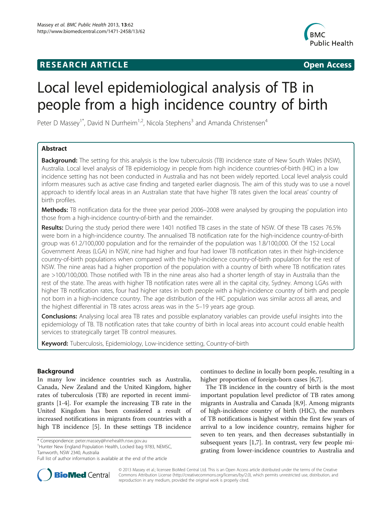## **RESEARCH ARTICLE Example 2014 12:30 The SEAR CH ACCESS**



# Local level epidemiological analysis of TB in people from a high incidence country of birth

Peter D Massey<sup>1\*</sup>, David N Durrheim<sup>1,2</sup>, Nicola Stephens<sup>3</sup> and Amanda Christensen<sup>4</sup>

## Abstract

**Background:** The setting for this analysis is the low tuberculosis (TB) incidence state of New South Wales (NSW), Australia. Local level analysis of TB epidemiology in people from high incidence countries-of-birth (HIC) in a low incidence setting has not been conducted in Australia and has not been widely reported. Local level analysis could inform measures such as active case finding and targeted earlier diagnosis. The aim of this study was to use a novel approach to identify local areas in an Australian state that have higher TB rates given the local areas' country of birth profiles.

Methods: TB notification data for the three year period 2006–2008 were analysed by grouping the population into those from a high-incidence country-of-birth and the remainder.

Results: During the study period there were 1401 notified TB cases in the state of NSW. Of these TB cases 76.5% were born in a high-incidence country. The annualised TB notification rate for the high-incidence country-of-birth group was 61.2/100,000 population and for the remainder of the population was 1.8/100,000. Of the 152 Local Government Areas (LGA) in NSW, nine had higher and four had lower TB notification rates in their high-incidence country-of-birth populations when compared with the high-incidence country-of-birth population for the rest of NSW. The nine areas had a higher proportion of the population with a country of birth where TB notification rates are >100/100,000. Those notified with TB in the nine areas also had a shorter length of stay in Australia than the rest of the state. The areas with higher TB notification rates were all in the capital city, Sydney. Among LGAs with higher TB notification rates, four had higher rates in both people with a high-incidence country of birth and people not born in a high-incidence country. The age distribution of the HIC population was similar across all areas, and the highest differential in TB rates across areas was in the 5–19 years age group.

Conclusions: Analysing local area TB rates and possible explanatory variables can provide useful insights into the epidemiology of TB. TB notification rates that take country of birth in local areas into account could enable health services to strategically target TB control measures.

Keyword: Tuberculosis, Epidemiology, Low-incidence setting, Country-of-birth

## Background

In many low incidence countries such as Australia, Canada, New Zealand and the United Kingdom, higher rates of tuberculosis (TB) are reported in recent immigrants [1-4]. For example the increasing TB rate in the United Kingdom has been considered a result of increased notifications in migrants from countries with a high TB incidence [5]. In these settings TB incidence

<sup>1</sup>Hunter New England Population Health, Locked bag 9783, NEMSC, Tamworth, NSW 2340, Australia

continues to decline in locally born people, resulting in a higher proportion of foreign-born cases [6,7].

The TB incidence in the country of birth is the most important population level predictor of TB rates among migrants in Australia and Canada [8,9]. Among migrants of high-incidence country of birth (HIC), the numbers of TB notifications is highest within the first few years of arrival to a low incidence country, remains higher for seven to ten years, and then decreases substantially in subsequent years [1,7]. In contrast, very few people migrating from lower-incidence countries to Australia and



© 2013 Massey et al.; licensee BioMed Central Ltd. This is an Open Access article distributed under the terms of the Creative Commons Attribution License [\(http://creativecommons.org/licenses/by/2.0\)](http://creativecommons.org/licenses/by/2.0), which permits unrestricted use, distribution, and reproduction in any medium, provided the original work is properly cited.

<sup>\*</sup> Correspondence: [peter.massey@hnehealth.nsw.gov.au](mailto:peter.massey@hnehealth.nsw.gov.au) <sup>1</sup>

Full list of author information is available at the end of the article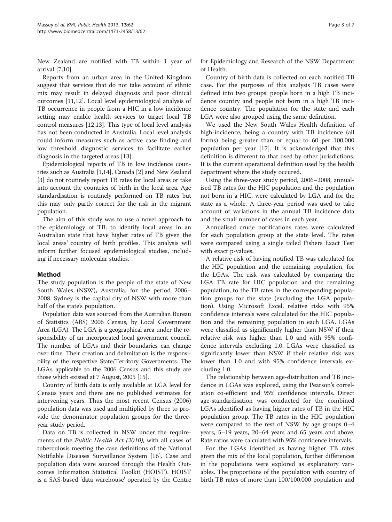New Zealand are notified with TB within 1 year of arrival [7,10].

Reports from an urban area in the United Kingdom suggest that services that do not take account of ethnic mix may result in delayed diagnosis and poor clinical outcomes [11,12]. Local level epidemiological analysis of TB occurrence in people from a HIC in a low incidence setting may enable health services to target local TB control measures [12,13]. This type of local level analysis has not been conducted in Australia. Local level analysis could inform measures such as active case finding and low threshold diagnostic services to facilitate earlier diagnosis in the targeted areas [13].

Epidemiological reports of TB in low incidence countries such as Australia [1,14], Canada [2] and New Zealand [3] do not routinely report TB rates for local areas or take into account the countries of birth in the local area. Age standardisation is routinely performed on TB rates but this may only partly correct for the risk in the migrant population.

The aim of this study was to use a novel approach to the epidemiology of TB, to identify local areas in an Australian state that have higher rates of TB given the local areas' country of birth profiles. This analysis will inform further focused epidemiological studies, including if necessary molecular studies.

## Method

The study population is the people of the state of New South Wales (NSW), Australia, for the period 2006– 2008. Sydney is the capital city of NSW with more than half of the state's population.

Population data was sourced from the Australian Bureau of Statistics (ABS) 2006 Census, by Local Government Area (LGA). The LGA is a geographical area under the responsibility of an incorporated local government council. The number of LGAs and their boundaries can change over time. Their creation and delimitation is the responsibility of the respective State/Territory Governments. The LGAs applicable to the 2006 Census and this study are those which existed at 7 August, 2005 [15].

Country of birth data is only available at LGA level for Census years and there are no published estimates for intervening years. Thus the most recent Census (2006) population data was used and multiplied by three to provide the denominator population groups for the threeyear study period.

Data on TB is collected in NSW under the requirements of the Public Health Act (2010), with all cases of tuberculosis meeting the case definitions of the National Notifiable Diseases Surveillance System [16]. Case and population data were sourced through the Health Outcomes Information Statistical Toolkit (HOIST). HOIST is a SAS-based 'data warehouse' operated by the Centre for Epidemiology and Research of the NSW Department of Health.

Country of birth data is collected on each notified TB case. For the purposes of this analysis TB cases were defined into two groups: people born in a high TB incidence country and people not born in a high TB incidence country. The population for the state and each LGA were also grouped using the same definition.

We used the New South Wales Health definition of high-incidence, being a country with TB incidence (all forms) being greater than or equal to 60 per 100,000 population per year [17]. It is acknowledged that this definition is different to that used by other jurisdictions. It is the current operational definition used by the health department where the study occured.

Using the three-year study period, 2006–2008, annualised TB rates for the HIC population and the population not born in a HIC, were calculated by LGA and for the state as a whole. A three-year period was used to take account of variations in the annual TB incidence data and the small number of cases in each year.

Annualised crude notifications rates were calculated for each population group at the state level. The rates were compared using a single tailed Fishers Exact Test with exact p-values.

A relative risk of having notified TB was calculated for the HIC population and the remaining population, for the LGAs. The risk was calculated by comparing the LGA TB rate for HIC population and the remaining population, to the TB rates in the corresponding population groups for the state (excluding the LGA population). Using Microsoft Excel, relative risks with 95% confidence intervals were calculated for the HIC population and the remaining population in each LGA. LGAs were classified as significantly higher than NSW if their relative risk was higher than 1.0 and with 95% confidence intervals excluding 1.0. LGAs were classified as significantly lower than NSW if their relative risk was lower than 1.0 and with 95% confidence intervals excluding 1.0.

The relationship between age-distribution and TB incidence in LGAs was explored, using the Pearson's correlation co-efficient and 95% confidence intervals. Direct age-standardisation was conducted for the combined LGAs identified as having higher rates of TB in the HIC population group. The TB rates in the HIC population were compared to the rest of NSW by age groups 0–4 years, 5–19 years, 20–64 years and 65 years and above. Rate ratios were calculated with 95% confidence intervals.

For the LGAs identified as having higher TB rates given the mix of the local population, further differences in the populations were explored as explanatory variables. The proportions of the population with country of birth TB rates of more than 100/100,000 population and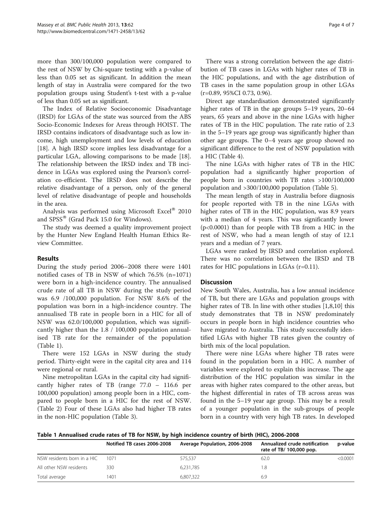more than 300/100,000 population were compared to the rest of NSW by Chi-square testing with a p-value of less than 0.05 set as significant. In addition the mean length of stay in Australia were compared for the two population groups using Student's t-test with a p-value of less than 0.05 set as significant.

The Index of Relative Socioeconomic Disadvantage (IRSD) for LGAs of the state was sourced from the ABS Socio-Economic Indexes for Areas through HOIST. The IRSD contains indicators of disadvantage such as low income, high unemployment and low levels of education [18]. A high IRSD score implies less disadvantage for a particular LGA, allowing comparisons to be made [18]. The relationship between the IRSD index and TB incidence in LGAs was explored using the Pearson's correlation co-efficient. The IRSD does not describe the relative disadvantage of a person, only of the general level of relative disadvantage of people and households in the area.

Analysis was performed using Microsoft Excel<sup>®</sup> 2010 and  $SPSS^®$  (Grad Pack 15.0 for Windows).

The study was deemed a quality improvement project by the Hunter New England Health Human Ethics Review Committee.

## Results

During the study period 2006–2008 there were 1401 notified cases of TB in NSW of which 76.5% (n=1071) were born in a high-incidence country. The annualised crude rate of all TB in NSW during the study period was 6.9 /100,000 population. For NSW 8.6% of the population was born in a high-incidence country. The annualised TB rate in people born in a HIC for all of NSW was 62.0/100,000 population, which was significantly higher than the 1.8 / 100,000 population annualised TB rate for the remainder of the population (Table 1).

There were 152 LGAs in NSW during the study period. Thirty-eight were in the capital city area and 114 were regional or rural.

Nine metropolitan LGAs in the capital city had significantly higher rates of TB (range 77.0 – 116.6 per 100,000 population) among people born in a HIC, compared to people born in a HIC for the rest of NSW. (Table 2) Four of these LGAs also had higher TB rates in the non-HIC population (Table 3).

There was a strong correlation between the age distribution of TB cases in LGAs with higher rates of TB in the HIC populations, and with the age distribution of TB cases in the same population group in other LGAs (r=0.89, 95%CI 0.73, 0.96).

Direct age standardisation demonstrated significantly higher rates of TB in the age groups 5–19 years, 20–64 years, 65 years and above in the nine LGAs with higher rates of TB in the HIC population. The rate ratio of 2.3 in the 5–19 years age group was significantly higher than other age groups. The 0–4 years age group showed no significant difference to the rest of NSW population with a HIC (Table 4).

The nine LGAs with higher rates of TB in the HIC population had a significantly higher proportion of people born in countries with TB rates >100/100,000 population and >300/100,000 population (Table 5).

The mean length of stay in Australia before diagnosis for people reported with TB in the nine LGAs with higher rates of TB in the HIC population, was 8.9 years with a median of 4 years. This was significantly lower (p<0.0001) than for people with TB from a HIC in the rest of NSW, who had a mean length of stay of 12.1 years and a median of 7 years.

LGAs were ranked by IRSD and correlation explored. There was no correlation between the IRSD and TB rates for HIC populations in LGAs (r=0.11).

## **Discussion**

New South Wales, Australia, has a low annual incidence of TB, but there are LGAs and population groups with higher rates of TB. In line with other studies [1,8,10] this study demonstrates that TB in NSW predominately occurs in people born in high incidence countries who have migrated to Australia. This study successfully identified LGAs with higher TB rates given the country of birth mix of the local population.

There were nine LGAs where higher TB rates were found in the population born in a HIC. A number of variables were explored to explain this increase. The age distribution of the HIC population was similar in the areas with higher rates compared to the other areas, but the highest differential in rates of TB across areas was found in the 5–19 year age group. This may be a result of a younger population in the sub-groups of people born in a country with very high TB rates. In developed

Table 1 Annualised crude rates of TB for NSW, by high incidence country of birth (HIC), 2006-2008

|                             | Notified TB cases 2006-2008 | Average Population, 2006-2008 | Annualized crude notification<br>rate of TB/ 100,000 pop. | p-value  |
|-----------------------------|-----------------------------|-------------------------------|-----------------------------------------------------------|----------|
| NSW residents born in a HIC | 1071                        | 575.537                       | 62.0                                                      | < 0.0001 |
| All other NSW residents     | 330                         | 6,231,785                     | 1.8                                                       |          |
| Total average               | 1401                        | 6,807,322                     | 6.9                                                       |          |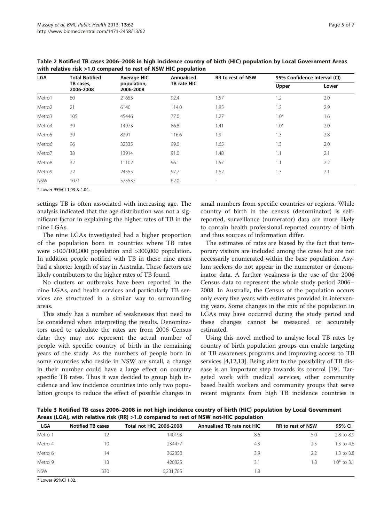| LGA        | <b>Total Notified</b><br>TB cases,<br>2006-2008 | Average HIC<br>population,<br>2006-2008 | Annualised  | <b>RR</b> to rest of NSW | 95% Confidence Interval (CI) |       |  |
|------------|-------------------------------------------------|-----------------------------------------|-------------|--------------------------|------------------------------|-------|--|
|            |                                                 |                                         | TB rate HIC |                          | Upper                        | Lower |  |
| Metro1     | 60                                              | 21653                                   | 92.4        | 1.57                     | 1.2                          | 2.0   |  |
| Metro2     | 21                                              | 6140                                    | 114.0       | 1.85                     | 1.2                          | 2.9   |  |
| Metro3     | 105                                             | 45446                                   | 77.0        | 1.27                     | $1.0*$                       | 1.6   |  |
| Metro4     | 39                                              | 14973                                   | 86.8        | 1.41                     | $1.0*$                       | 2.0   |  |
| Metro5     | 29                                              | 8291                                    | 116.6       | 1.9                      | 1.3                          | 2.8   |  |
| Metro6     | 96                                              | 32335                                   | 99.0        | 1.65                     | 1.3                          | 2.0   |  |
| Metro7     | 38                                              | 13914                                   | 91.0        | 1.48                     | 1.1                          | 2.1   |  |
| Metro8     | 32                                              | 11102                                   | 96.1        | 1.57                     | 1.1                          | 2.2   |  |
| Metro9     | 72                                              | 24555                                   | 97.7        | 1.62                     | 1.3                          | 2.1   |  |
| <b>NSW</b> | 1071                                            | 575537                                  | 62.0        |                          |                              |       |  |

Table 2 Notified TB cases 2006–2008 in high incidence country of birth (HIC) population by Local Government Areas with relative risk >1.0 compared to rest of NSW HIC population

\* Lower 95%CI 1.03 & 1.04.

settings TB is often associated with increasing age. The analysis indicated that the age distribution was not a significant factor in explaining the higher rates of TB in the nine LGAs.

The nine LGAs investigated had a higher proportion of the population born in countries where TB rates were >100/100,000 population and >300,000 population. In addition people notified with TB in these nine areas had a shorter length of stay in Australia. These factors are likely contributors to the higher rates of TB found.

No clusters or outbreaks have been reported in the nine LGAs, and health services and particularly TB services are structured in a similar way to surrounding areas.

This study has a number of weaknesses that need to be considered when interpreting the results. Denominators used to calculate the rates are from 2006 Census data; they may not represent the actual number of people with specific country of birth in the remaining years of the study. As the numbers of people born in some countries who reside in NSW are small, a change in their number could have a large effect on country specific TB rates. Thus it was decided to group high incidence and low incidence countries into only two population groups to reduce the effect of possible changes in

small numbers from specific countries or regions. While country of birth in the census (denominator) is selfreported, surveillance (numerator) data are more likely to contain health professional reported country of birth and thus sources of information differ.

The estimates of rates are biased by the fact that temporary visitors are included among the cases but are not necessarily enumerated within the base population. Asylum seekers do not appear in the numerator or denominator data. A further weakness is the use of the 2006 Census data to represent the whole study period 2006– 2008. In Australia, the Census of the population occurs only every five years with estimates provided in intervening years. Some changes in the mix of the population in LGAs may have occurred during the study period and these changes cannot be measured or accurately estimated.

Using this novel method to analyse local TB rates by country of birth population groups can enable targeting of TB awareness programs and improving access to TB services [4,12,13]. Being alert to the possibility of TB disease is an important step towards its control [19]. Targeted work with medical services, other community based health workers and community groups that serve recent migrants from high TB incidence countries is

Table 3 Notified TB cases 2006–2008 in not high incidence country of birth (HIC) population by Local Government Areas (LGA), with relative risk (RR) >1.0 compared to rest of NSW not-HIC population

| <b>LGA</b> | <b>Notified TB cases</b> | Total not HIC, 2006-2008 | Annualised TB rate not HIC | <b>RR</b> to rest of NSW | 95% CI        |
|------------|--------------------------|--------------------------|----------------------------|--------------------------|---------------|
| Metro 1    | 12                       | 140193                   | 8.6                        | 5.0                      | 2.8 to 8.9    |
| Metro 4    | 10                       | 234477                   | 4.3                        | 2.5                      | 1.3 to 4.6    |
| Metro 6    | 14                       | 362850                   | 3.9                        | 2.2                      | 1.3 to 3.8    |
| Metro 9    | 13                       | 420825                   | 3.1                        | 1.8                      | $1.0*$ to 3.1 |
| <b>NSW</b> | 330                      | 6,231,785                | 1.8                        |                          |               |

\* Lower 95%CI 1.02.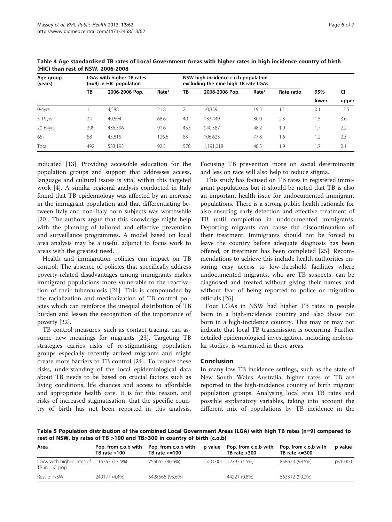| Age group<br>(years) |     | LGAs with higher TB rates<br>$(n=9)$ in HIC population |       |     | NSW high incidence c.o.b population<br>excluding the nine high TB rate LGAs |       |            |       |       |
|----------------------|-----|--------------------------------------------------------|-------|-----|-----------------------------------------------------------------------------|-------|------------|-------|-------|
|                      | TB  | 2006-2008 Pop.                                         | Rate* | ТB  | 2006-2008 Pop.                                                              | Rate* | Rate ratio | 95%   | CI    |
|                      |     |                                                        |       |     |                                                                             |       |            | lower | upper |
| 0-4yrs               |     | 4.588                                                  | 21.8  |     | 10,359                                                                      | 19.3  | 1.1        | 0.1   | 12.5  |
| $5-19$ yrs           | 34  | 49,594                                                 | 68.6  | 40  | 133,449                                                                     | 30.0  | 2.3        | 1.5   | 3.6   |
| 20-64yrs             | 399 | 435,596                                                | 91.6  | 453 | 940,587                                                                     | 48.2  | 1.9        | 1.7   | 2.2   |
| $65+$                | 58  | 45,815                                                 | 126.6 | 83  | 106,623                                                                     | 77.8  | 1.6        | 1.2   | 2.3   |
| Total                | 492 | 533,193                                                | 92.3  | 578 | ,191,018                                                                    | 48.5  | 1.9        | 1.7   | 2.1   |

Table 4 Age standardised TB rates of Local Government Areas with higher rates in high incidence country of birth (HIC) than rest of NSW, 2006-2008

indicated [13]. Providing accessible education for the population groups and support that addresses access, language and cultural issues is vital within this targeted work [4]. A similar regional analysis conducted in Italy found that TB epidemiology was affected by an increase in the immigrant population and that differentiating between Italy and non-Italy born subjects was worthwhile [20]. The authors argue that this knowledge might help with the planning of tailored and effective prevention and surveillance programmes. A model based on local area analysis may be a useful adjunct to focus work to areas with the greatest need.

Health and immigration policies can impact on TB control. The absence of policies that specifically address poverty-related disadvantages among immigrants makes immigrant populations more vulnerable to the reactivation of their tuberculosis [21]. This is compounded by the racialization and medicalization of TB control policies which can reinforce the unequal distribution of TB burden and lessen the recognition of the importance of poverty [22].

TB control measures, such as contact tracing, can assume new meanings for migrants [23]. Targeting TB strategies carries risks of re-stigmatising population groups especially recently arrived migrants and might create more barriers to TB control [24]. To reduce these risks, understanding of the local epidemiological data about TB needs to be based on crucial factors such as living conditions, life chances and access to affordable and appropriate health care. It is for this reason, and risks of increased stigmatisation, that the specific country of birth has not been reported in this analysis. Focusing TB prevention more on social determinants and less on race will also help to reduce stigma.

This study has focused on TB rates in registered immigrant populations but it should be noted that TB is also an important health issue for undocumented immigrant populations. There is a strong public health rationale for also ensuring early detection and effective treatment of TB until completion in undocumented immigrants. Deporting migrants can cause the discontinuation of their treatment. Immigrants should not be forced to leave the country before adequate diagnosis has been offered, or treatment has been completed [25]. Recommendations to achieve this include health authorities ensuring easy access to low-threshold facilities where undocumented migrants, who are TB suspects, can be diagnosed and treated without giving their names and without fear of being reported to police or migration officials [26].

Four LGAs in NSW had higher TB rates in people born in a high-incidence country and also those not born in a high-incidence country. This may or may not indicate that local TB transmission is occurring. Further detailed epidemiological investigation, including molecular studies, is warranted in these areas.

## Conclusion

In many low TB incidence settings, such as the state of New South Wales Australia, higher rates of TB are reported in the high-incidence country of birth migrant population groups. Analysing local area TB rates and possible explanatory variables, taking into account the different mix of populations by TB incidence in the

Table 5 Population distribution of the combined Local Government Areas (LGA) with high TB rates (n=9) compared to rest of NSW, by rates of TB >100 and TB>300 in country of birth (c.o.b)

| Area                                                       | Pop. from c.o.b with<br>TB rate $>100$ | Pop. from c.o.b with<br>TB rate $\leq$ =100 | p value | Pop. from c.o.b with<br>TB rate $>300$ | Pop. from c.o.b with<br>TB rate $\leq$ =300 | p value  |
|------------------------------------------------------------|----------------------------------------|---------------------------------------------|---------|----------------------------------------|---------------------------------------------|----------|
| LGAs with higher rates of 116355 (13.4%)<br>TB in HIC pop. |                                        | 755065 (86.6%)                              |         | p<0.0001 12797 (1.5%)                  | 858623 (98.5%)                              | p<0.0001 |
| Rest of NSW                                                | 249177 (4.4%)                          | 5428566 (95.6%)                             |         | 44221 (0.8%)                           | 563312 (99.2%)                              |          |